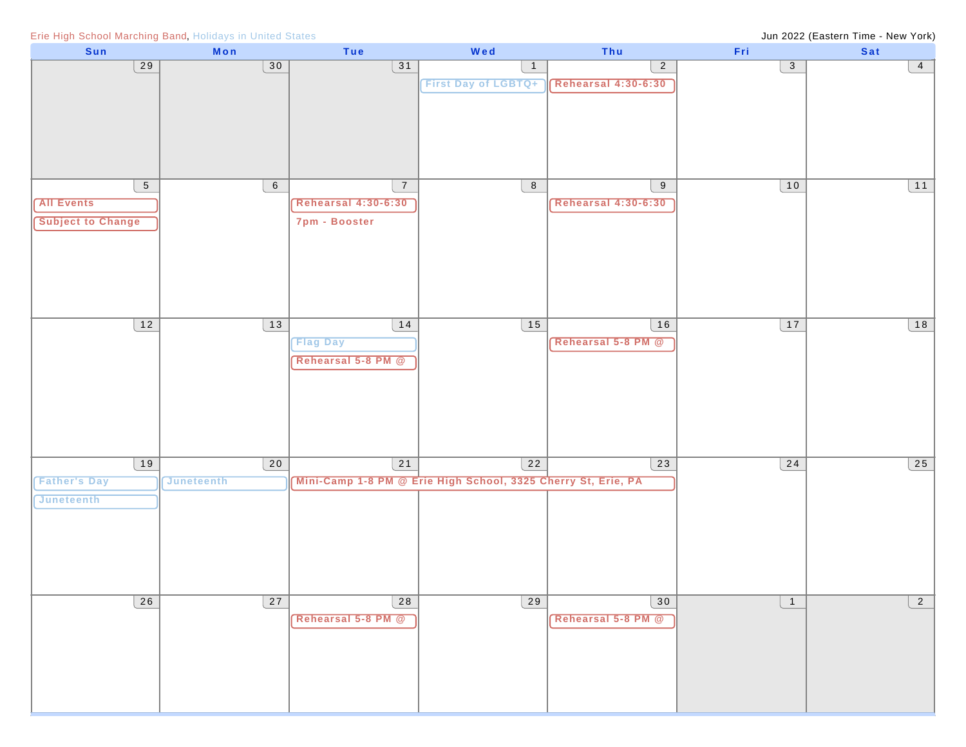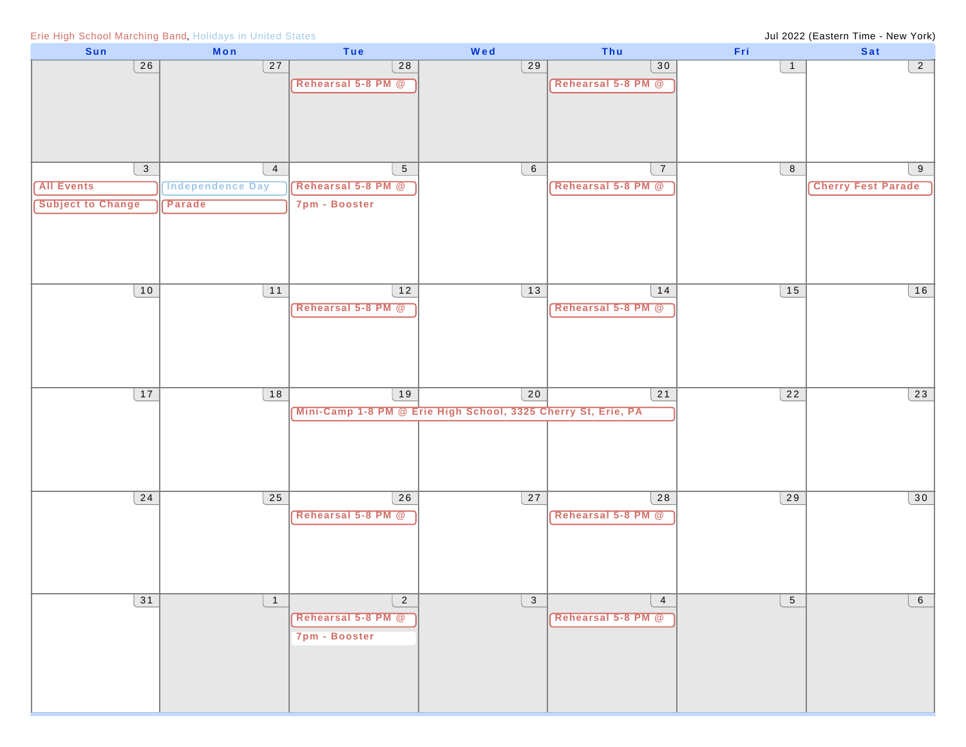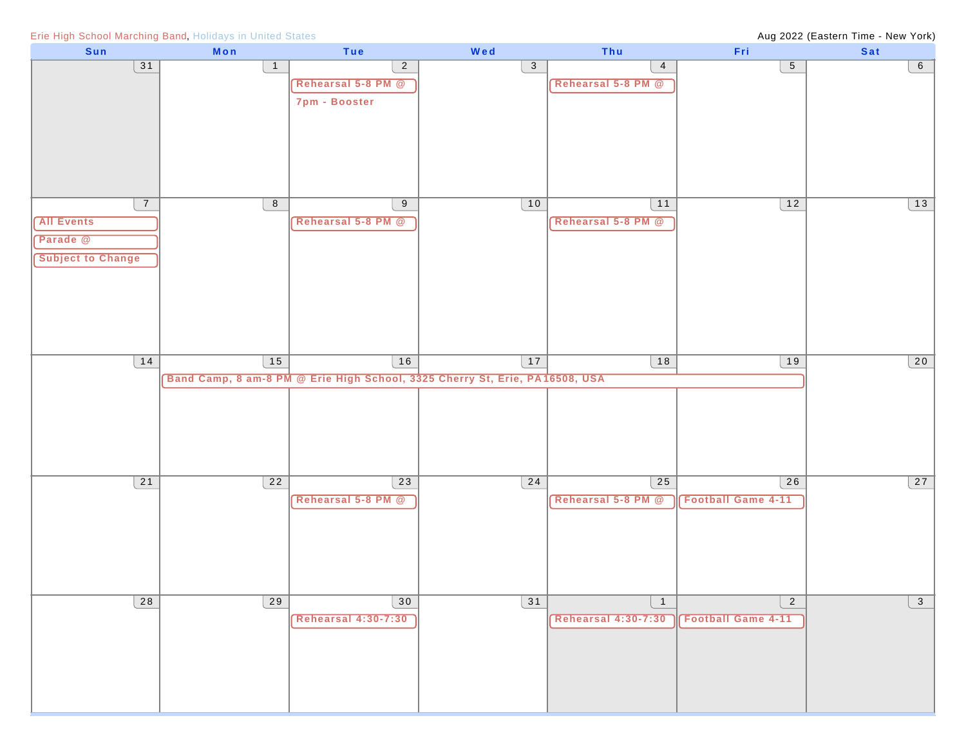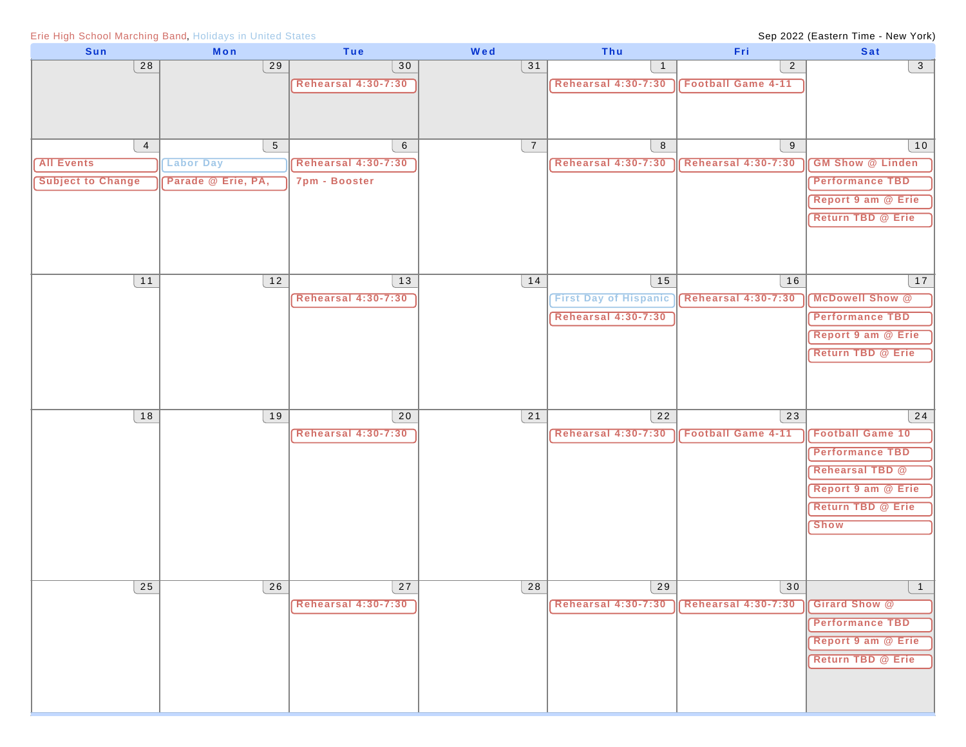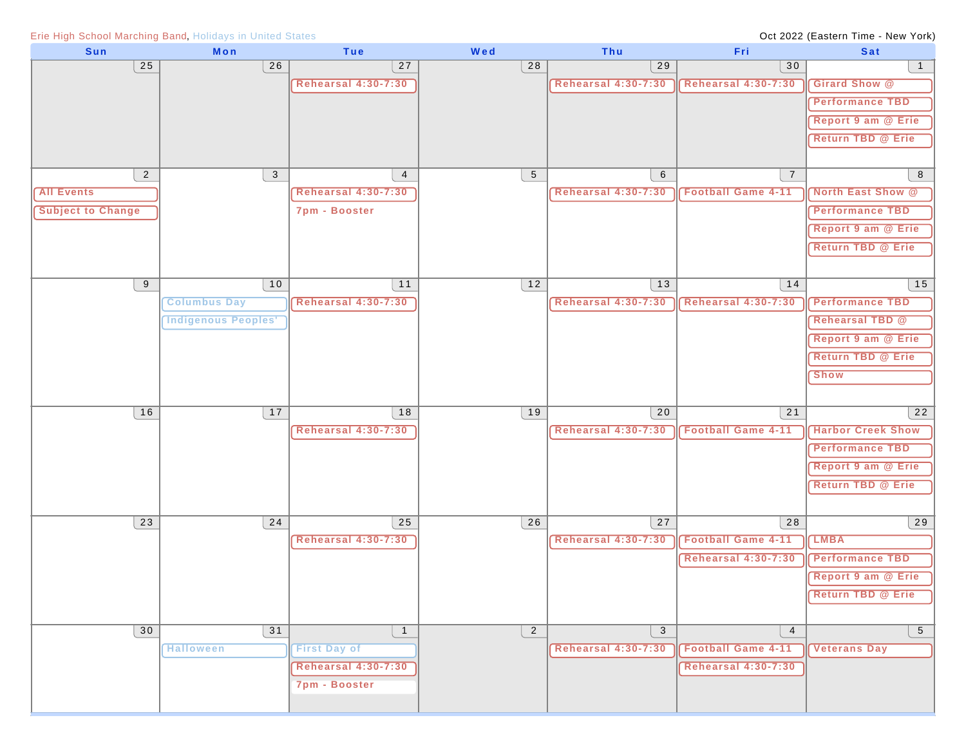